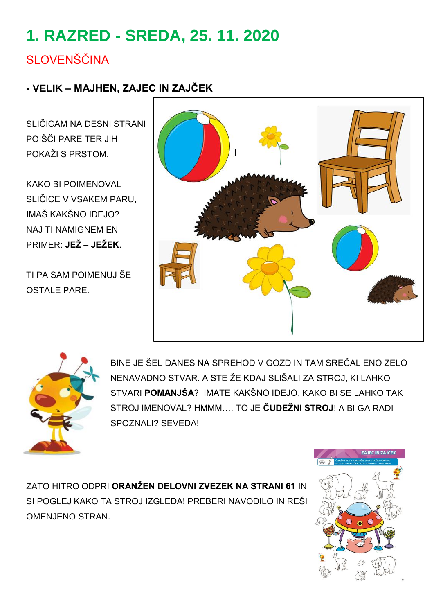# **1. RAZRED - SREDA, 25. 11. 2020**

### **SLOVENŠČINA**

#### **- VELIK – MAJHEN, ZAJEC IN ZAJČEK**

SLIČICAM NA DESNI STRANI POIŠČI PARE TER JIH POKAŽI S PRSTOM.

KAKO BI POIMENOVAL SLIČICE V VSAKEM PARU, IMAŠ KAKŠNO IDEJO? NAJ TI NAMIGNEM EN PRIMER: **JEŽ – JEŽEK**.

TI PA SAM POIMENUJ ŠE OSTALE PARE.





BINE JE ŠEL DANES NA SPREHOD V GOZD IN TAM SREČAL ENO ZELO NENAVADNO STVAR. A STE ŽE KDAJ SLIŠALI ZA STROJ, KI LAHKO STVARI **POMANJŠA**? IMATE KAKŠNO IDEJO, KAKO BI SE LAHKO TAK STROJ IMENOVAL? HMMM…. TO JE **ČUDEŽNI STROJ**! A BI GA RADI SPOZNALI? SEVEDA!

ZATO HITRO ODPRI **ORANŽEN DELOVNI ZVEZEK NA STRANI 61** IN SI POGLEJ KAKO TA STROJ IZGLEDA! PREBERI NAVODILO IN REŠI OMENJENO STRAN.

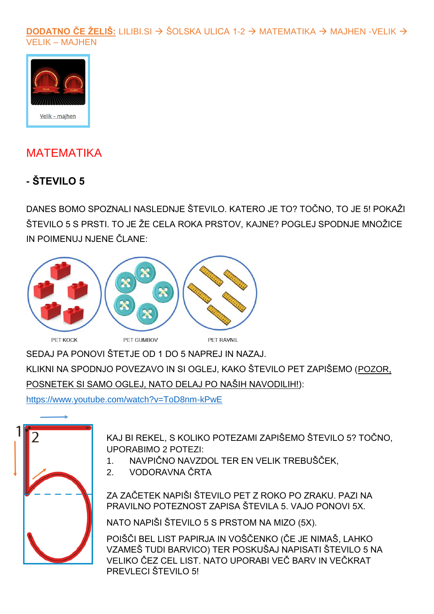#### **DODATNO ČE ŽELIŠ:** LILIBI.SI  $\rightarrow$  ŠOLSKA ULICA 1-2  $\rightarrow$  MATEMATIKA  $\rightarrow$  MAJHEN -VELIK  $\rightarrow$ **VELIK - MAJHEN**



### **MATEMATIKA**

### - ŠTEVILO 5

DANES BOMO SPOZNALI NASLEDNJE ŠTEVILO. KATERO JE TO? TOČNO, TO JE 5! POKAŽI ŠTEVILO 5 S PRSTI. TO JE ŽE CELA ROKA PRSTOV, KAJNE? POGLEJ SPODNJE MNOŽICE IN POIMENUJ NJENE ČLANE:



SEDAJ PA PONOVI ŠTETJE OD 1 DO 5 NAPREJ IN NAZAJ.

KLIKNI NA SPODNJO POVEZAVO IN SI OGLEJ, KAKO ŠTEVILO PET ZAPIŠEMO (POZOR, POSNETEK SI SAMO OGLEJ, NATO DELAJ PO NAŠIH NAVODILIH!):

https://www.voutube.com/watch?v=ToD8nm-kPwE



KAJ BI REKEL. S KOLIKO POTEZAMI ZAPIŠEMO ŠTEVILO 5? TOČNO. **UPORABIMO 2 POTEZI:** 

- $1<sup>1</sup>$ NAVPIČNO NAVZDOL TER EN VELIK TREBUŠČEK.
- VODORAVNA ČRTA  $2<sub>1</sub>$

ZA ZAČETEK NAPIŠI ŠTEVILO PET Z ROKO PO ZRAKU. PAZI NA PRAVILNO POTEZNOST ZAPISA ŠTEVILA 5. VAJO PONOVI 5X.

NATO NAPIŠI ŠTEVILO 5 S PRSTOM NA MIZO (5X).

POIŠČI BEL LIST PAPIRJA IN VOŠČENKO (ČE JE NIMAŠ, LAHKO VZAMEŠ TUDI BARVICO) TER POSKUŠAJ NAPISATI ŠTEVILO 5 NA VELIKO ČEZ CEL LIST. NATO UPORABI VEČ BARV IN VEČKRAT PREVLECI ŠTEVILO 5!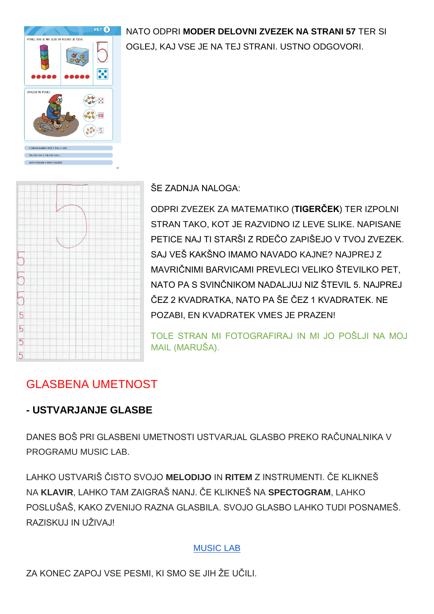#### NATO ODPRI **MODER DELOVNI ZVEZEK NA STRANI 57** TER SI



OGLEJ, KAJ VSE JE NA TEJ STRANI. USTNO ODGOVORI.



ŠE ZADNJA NALOGA:

ODPRI ZVEZEK ZA MATEMATIKO (**TIGERČEK**) TER IZPOLNI STRAN TAKO, KOT JE RAZVIDNO IZ LEVE SLIKE. NAPISANE PETICE NAJ TI STARŠI Z RDEČO ZAPIŠEJO V TVOJ ZVEZEK. SAJ VEŠ KAKŠNO IMAMO NAVADO KAJNE? NAJPREJ Z MAVRIČNIMI BARVICAMI PREVI ECI VELIKO ŠTEVILKO PET NATO PA S SVINČNIKOM NADALJUJ NIZ ŠTEVIL 5. NAJPREJ ČEZ 2 KVADRATKA, NATO PA ŠE ČEZ 1 KVADRATEK. NE POZABI, EN KVADRATEK VMES JE PRAZEN!

TOLE STRAN MI FOTOGRAFIRAJ IN MI JO POŠLJI NA MOJ MAIL (MARUŠA).

### GLASBENA UMETNOST

#### **- USTVARJANJE GLASBE**

DANES BOŠ PRI GLASBENI UMETNOSTI USTVARJAL GLASBO PREKO RAČUNALNIKA V PROGRAMU MUSIC LAB.

LAHKO USTVARIŠ ČISTO SVOJO **MELODIJO** IN **RITEM** Z INSTRUMENTI. ČE KLIKNEŠ NA **KLAVIR**, LAHKO TAM ZAIGRAŠ NANJ. ČE KLIKNEŠ NA **SPECTOGRAM**, LAHKO POSLUŠAŠ, KAKO ZVENIJO RAZNA GLASBILA. SVOJO GLASBO LAHKO TUDI POSNAMEŠ. RAZISKUJ IN UŽIVAJ!

#### [MUSIC LAB](https://musiclab.chromeexperiments.com/)

ZA KONEC ZAPOJ VSE PESMI, KI SMO SE JIH ŽE UČILI.